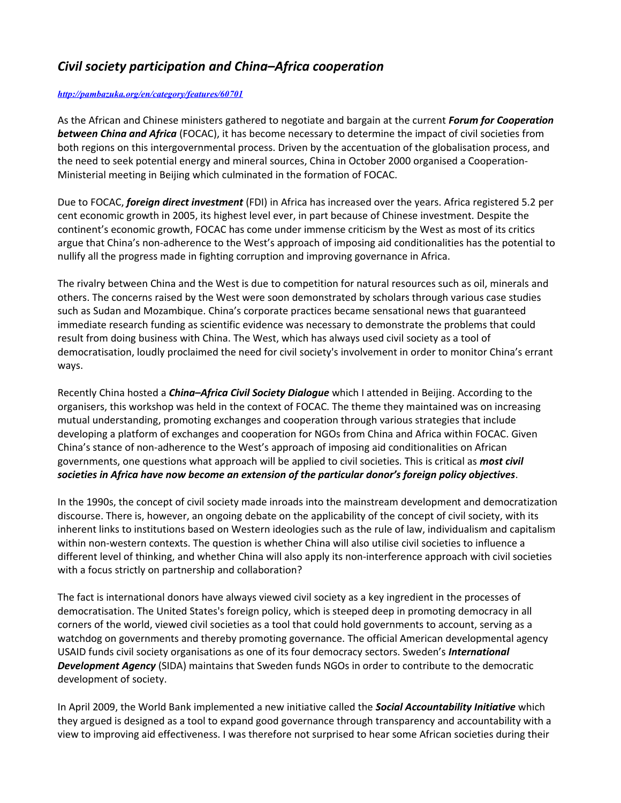## *Civil society participation and China–Africa cooperation*

## *<http://pambazuka.org/en/category/features/60701>*

As the African and Chinese ministers gathered to negotiate and bargain at the current *Forum for Cooperation between China and Africa* (FOCAC), it has become necessary to determine the impact of civil societies from both regions on this intergovernmental process. Driven by the accentuation of the globalisation process, and the need to seek potential energy and mineral sources, China in October 2000 organised a Cooperation-Ministerial meeting in Beijing which culminated in the formation of FOCAC.

Due to FOCAC, *foreign direct investment* (FDI) in Africa has increased over the years. Africa registered 5.2 per cent economic growth in 2005, its highest level ever, in part because of Chinese investment. Despite the continent's economic growth, FOCAC has come under immense criticism by the West as most of its critics argue that China's non-adherence to the West's approach of imposing aid conditionalities has the potential to nullify all the progress made in fighting corruption and improving governance in Africa.

The rivalry between China and the West is due to competition for natural resources such as oil, minerals and others. The concerns raised by the West were soon demonstrated by scholars through various case studies such as Sudan and Mozambique. China's corporate practices became sensational news that guaranteed immediate research funding as scientific evidence was necessary to demonstrate the problems that could result from doing business with China. The West, which has always used civil society as a tool of democratisation, loudly proclaimed the need for civil society's involvement in order to monitor China's errant ways.

Recently China hosted a *China–Africa Civil Society Dialogue* which I attended in Beijing. According to the organisers, this workshop was held in the context of FOCAC. The theme they maintained was on increasing mutual understanding, promoting exchanges and cooperation through various strategies that include developing a platform of exchanges and cooperation for NGOs from China and Africa within FOCAC. Given China's stance of non-adherence to the West's approach of imposing aid conditionalities on African governments, one questions what approach will be applied to civil societies. This is critical as *most civil societies in Africa have now become an extension of the particular donor's foreign policy objectives*.

In the 1990s, the concept of civil society made inroads into the mainstream development and democratization discourse. There is, however, an ongoing debate on the applicability of the concept of civil society, with its inherent links to institutions based on Western ideologies such as the rule of law, individualism and capitalism within non-western contexts. The question is whether China will also utilise civil societies to influence a different level of thinking, and whether China will also apply its non-interference approach with civil societies with a focus strictly on partnership and collaboration?

The fact is international donors have always viewed civil society as a key ingredient in the processes of democratisation. The United States's foreign policy, which is steeped deep in promoting democracy in all corners of the world, viewed civil societies as a tool that could hold governments to account, serving as a watchdog on governments and thereby promoting governance. The official American developmental agency USAID funds civil society organisations as one of its four democracy sectors. Sweden's *International Development Agency* (SIDA) maintains that Sweden funds NGOs in order to contribute to the democratic development of society.

In April 2009, the World Bank implemented a new initiative called the *Social Accountability Initiative* which they argued is designed as a tool to expand good governance through transparency and accountability with a view to improving aid effectiveness. I was therefore not surprised to hear some African societies during their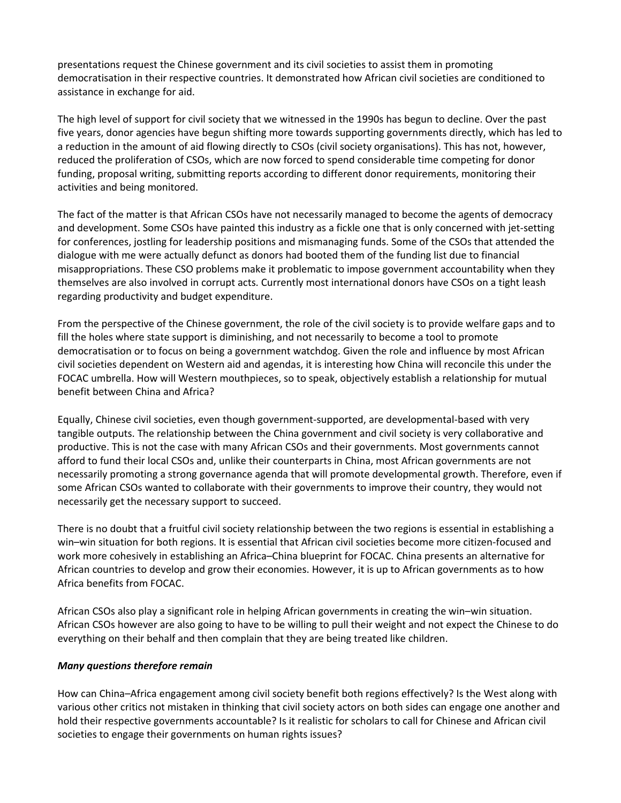presentations request the Chinese government and its civil societies to assist them in promoting democratisation in their respective countries. It demonstrated how African civil societies are conditioned to assistance in exchange for aid.

The high level of support for civil society that we witnessed in the 1990s has begun to decline. Over the past five years, donor agencies have begun shifting more towards supporting governments directly, which has led to a reduction in the amount of aid flowing directly to CSOs (civil society organisations). This has not, however, reduced the proliferation of CSOs, which are now forced to spend considerable time competing for donor funding, proposal writing, submitting reports according to different donor requirements, monitoring their activities and being monitored.

The fact of the matter is that African CSOs have not necessarily managed to become the agents of democracy and development. Some CSOs have painted this industry as a fickle one that is only concerned with jet-setting for conferences, jostling for leadership positions and mismanaging funds. Some of the CSOs that attended the dialogue with me were actually defunct as donors had booted them of the funding list due to financial misappropriations. These CSO problems make it problematic to impose government accountability when they themselves are also involved in corrupt acts. Currently most international donors have CSOs on a tight leash regarding productivity and budget expenditure.

From the perspective of the Chinese government, the role of the civil society is to provide welfare gaps and to fill the holes where state support is diminishing, and not necessarily to become a tool to promote democratisation or to focus on being a government watchdog. Given the role and influence by most African civil societies dependent on Western aid and agendas, it is interesting how China will reconcile this under the FOCAC umbrella. How will Western mouthpieces, so to speak, objectively establish a relationship for mutual benefit between China and Africa?

Equally, Chinese civil societies, even though government-supported, are developmental-based with very tangible outputs. The relationship between the China government and civil society is very collaborative and productive. This is not the case with many African CSOs and their governments. Most governments cannot afford to fund their local CSOs and, unlike their counterparts in China, most African governments are not necessarily promoting a strong governance agenda that will promote developmental growth. Therefore, even if some African CSOs wanted to collaborate with their governments to improve their country, they would not necessarily get the necessary support to succeed.

There is no doubt that a fruitful civil society relationship between the two regions is essential in establishing a win–win situation for both regions. It is essential that African civil societies become more citizen-focused and work more cohesively in establishing an Africa–China blueprint for FOCAC. China presents an alternative for African countries to develop and grow their economies. However, it is up to African governments as to how Africa benefits from FOCAC.

African CSOs also play a significant role in helping African governments in creating the win–win situation. African CSOs however are also going to have to be willing to pull their weight and not expect the Chinese to do everything on their behalf and then complain that they are being treated like children.

## *Many questions therefore remain*

How can China–Africa engagement among civil society benefit both regions effectively? Is the West along with various other critics not mistaken in thinking that civil society actors on both sides can engage one another and hold their respective governments accountable? Is it realistic for scholars to call for Chinese and African civil societies to engage their governments on human rights issues?